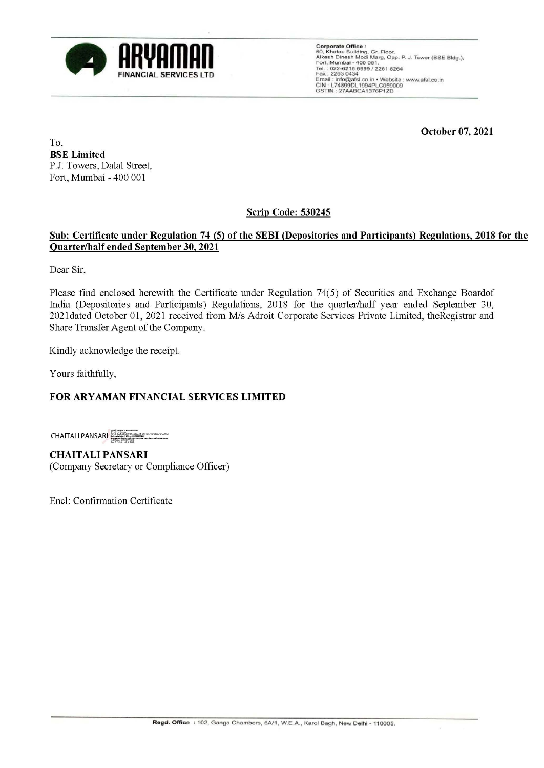

Corporate Office :<br>60, Khatau Building, Gr. Floor,<br>Alkesh Dinesh Modi Marg, Opp. P. J. Tower (BSE Bldg.),<br>Fort, Mumbai - 400 001.<br>Tel.: 022-6216 6999 / 2261 8264<br>Fax : 2263 0434<br>Email : info@afsl.co.in • Website : www.afsl

**October 07, 2021** 

To, **BSE Limited**  P.J. Towers, Dalal Street, Fort, Mumbai - 400 001

## **Scrip Code: 530245**

## **Sub: Certificate under Regulation 74 (5) of the SEBI (Depositories and Participants) Regulations, 2018 for the Ouarter/half ended September 30, 2021**

Dear Sir,

Please find enclosed herewith the Certificate under Regulation 74(5) of Securities and Exchange Boardof India (Depositories and Participants) Regulations, 2018 for the quarter/half year ended September 30, 202ldated October 01, 2021 received from Mis Adroit Corporate Services Private Limited, theRegistrar and Share Transfer Agent of the Company.

Kindly acknowledge the receipt.

Yours faithfully,

## **FOR ARYAMAN FINANCIAL SERVICES LIMITED**

**CHAITALI PANSARI** tsii srupaavaliinumid<br>Adolladimimedian as

**CHAITALIPANSARI**  (Company Secretary or Compliance Officer)

Encl: Confirmation Certificate